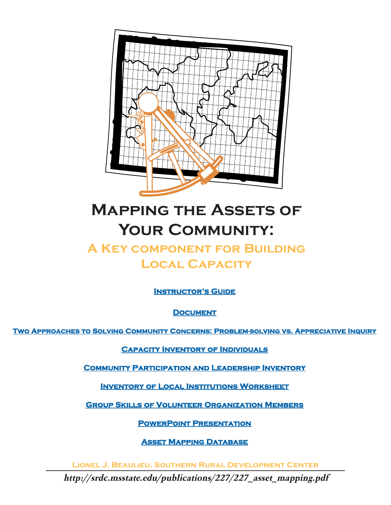

# **Mapping the Assets of** YOUR COMMUNITY:

## **A Key component for Building Local Capacity**

**[Instructor's Guide](http://srdc.msstate.edu/publications/227/instructors_guide.pdf)**

**[Document](#page-1-0)**

**[Two Approaches to Solving Community Concerns: Problem-solving vs. Appreciative Inquiry](http://srdc.msstate.edu/publications/227/two_approaches.pdf)**

**[Capacity Inventory of Individuals](http://srdc.msstate.edu/publications/227/227_capacity_inventory.pdf)**

**[Community Participation and Leadership Inventory](http://srdc.msstate.edu/publications/227/227_leadership_inventory.pdf)**

**[Inventory of Local Institutions Worksheet](http://srdc.msstate.edu/publications/227/227_institutionsinventory.pdf)**

**[Group Skills of Volunteer Organization Members](http://srdc.msstate.edu/publications/227/227_voluntary_inventory.pdf)**

**[PowerPoint Presentation](http://srdc.msstate.edu/publications/227/227_powerpoint_presentation.ppt)**

**[Asset Mapping Database](http://srdc.msstate.edu/publications/227/assetmapping.mdb)**

**Lionel J. Beaulieu, Southern Rural Development Center**

*http://srdc.msstate.edu/publications/227/227\_asset\_mapping.pdf*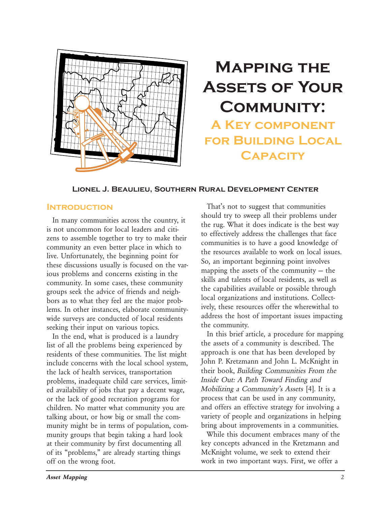<span id="page-1-0"></span>

## **Mapping the Assets of Your Community: A Key component for Building Local**

**Capacity**

#### **Lionel J. Beaulieu, Southern Rural Development Center**

#### **Introduction**

In many communities across the country, it is not uncommon for local leaders and citizens to assemble together to try to make their community an even better place in which to live. Unfortunately, the beginning point for these discussions usually is focused on the various problems and concerns existing in the community. In some cases, these community groups seek the advice of friends and neighbors as to what they feel are the major problems. In other instances, elaborate communitywide surveys are conducted of local residents seeking their input on various topics.

In the end, what is produced is a laundry list of all the problems being experienced by residents of these communities. The list might include concerns with the local school system, the lack of health services, transportation problems, inadequate child care services, limited availability of jobs that pay a decent wage, or the lack of good recreation programs for children. No matter what community you are talking about, or how big or small the community might be in terms of population, community groups that begin taking a hard look at their community by first documenting all of its "problems," are already starting things off on the wrong foot.

That's not to suggest that communities should try to sweep all their problems under the rug. What it does indicate is the best way to effectively address the challenges that face communities is to have a good knowledge of the resources available to work on local issues. So, an important beginning point involves mapping the assets of the community — the skills and talents of local residents, as well as the capabilities available or possible through local organizations and institutions. Collectively, these resources offer the wherewithal to address the host of important issues impacting the community.

In this brief article, a procedure for mapping the assets of a community is described. The approach is one that has been developed by John P. Kretzmann and John L. McKnight in their book, *Building Communities From the Inside Out: A Path Toward Finding and Mobilizing a Community's Assets* [4]. It is a process that can be used in any community, and offers an effective strategy for involving a variety of people and organizations in helping bring about improvements in a communities.

While this document embraces many of the key concepts advanced in the Kretzmann and McKnight volume, we seek to extend their work in two important ways. First, we offer a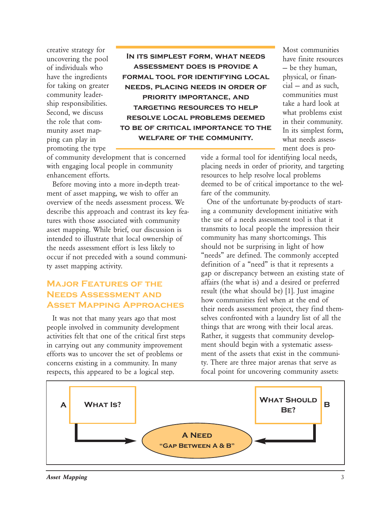creative strategy for uncovering the pool of individuals who have the ingredients for taking on greater community leadership responsibilities. Second, we discuss the role that community asset mapping can play in promoting the type

**In its simplest form, what needs assessment does is provide a formal tool for identifying local needs, placing needs in order of priority importance, and targeting resources to help resolve local problems deemed to be of critical importance to the welfare of the community.**

Most communities have finite resources — be they human, physical, or financial — and as such, communities must take a hard look at what problems exist in their community. In its simplest form, what needs assessment does is pro-

of community development that is concerned with engaging local people in community enhancement efforts.

Before moving into a more in-depth treatment of asset mapping, we wish to offer an overview of the needs assessment process. We describe this approach and contrast its key features with those associated with community asset mapping. While brief, our discussion is intended to illustrate that local ownership of the needs assessment effort is less likely to occur if not preceded with a sound community asset mapping activity.

## **Major Features of the Needs Assessment and Asset Mapping Approaches**

It was not that many years ago that most people involved in community development activities felt that one of the critical first steps in carrying out any community improvement efforts was to uncover the set of problems or concerns existing in a community. In many respects, this appeared to be a logical step.

vide a formal tool for identifying local needs, placing needs in order of priority, and targeting resources to help resolve local problems deemed to be of critical importance to the welfare of the community.

One of the unfortunate by-products of starting a community development initiative with the use of a needs assessment tool is that it transmits to local people the impression their community has many shortcomings. This should not be surprising in light of how "needs" are defined. The commonly accepted definition of a "need" is that it represents a gap or discrepancy between an existing state of affairs (the what is) and a desired or preferred result (the what should be) [1]. Just imagine how communities feel when at the end of their needs assessment project, they find themselves confronted with a laundry list of all the things that are wrong with their local areas. Rather, it suggests that community development should begin with a systematic assessment of the assets that exist in the community. There are three major arenas that serve as focal point for uncovering community assets:

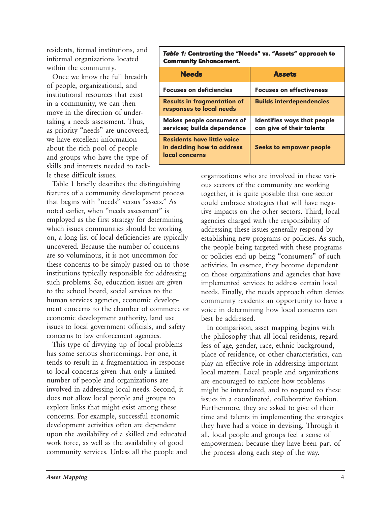residents, formal institutions, and informal organizations located within the community.

Once we know the full breadth of people, organizational, and institutional resources that exist in a community, we can then move in the direction of undertaking a needs assessment. Thus, as priority "needs" are uncovered, we have excellent information about the rich pool of people and groups who have the type of skills and interests needed to tackle these difficult issues.

Table 1 briefly describes the distinguishing features of a community development process that begins with "needs" versus "assets." As noted earlier, when "needs assessment" is employed as the first strategy for determining which issues communities should be working on, a long list of local deficiencies are typically uncovered. Because the number of concerns are so voluminous, it is not uncommon for these concerns to be simply passed on to those institutions typically responsible for addressing such problems. So, education issues are given to the school board, social services to the human services agencies, economic development concerns to the chamber of commerce or economic development authority, land use issues to local government officials, and safety concerns to law enforcement agencies.

This type of divvying up of local problems has some serious shortcomings. For one, it tends to result in a fragmentation in response to local concerns given that only a limited number of people and organizations are involved in addressing local needs. Second, it does not allow local people and groups to explore links that might exist among these concerns. For example, successful economic development activities often are dependent upon the availability of a skilled and educated work force, as well as the availability of good community services. Unless all the people and

#### *Table 1:* Contrasting the "Needs" vs. "Assets" approach to Community Enhancement.

| <b>Needs</b>                                                                       | <b>Assets</b>                                            |
|------------------------------------------------------------------------------------|----------------------------------------------------------|
| <b>Focuses on deficiencies</b>                                                     | <b>Focuses on effectiveness</b>                          |
| <b>Results in fragmentation of</b><br>responses to local needs                     | <b>Builds interdependencies</b>                          |
| <b>Makes people consumers of</b><br>services; builds dependence                    | Identifies ways that people<br>can give of their talents |
| <b>Residents have little voice</b><br>in deciding how to address<br>local concerns | Seeks to empower people                                  |

organizations who are involved in these various sectors of the community are working together, it is quite possible that one sector could embrace strategies that will have negative impacts on the other sectors. Third, local agencies charged with the responsibility of addressing these issues generally respond by establishing new programs or policies. As such, the people being targeted with these programs or policies end up being "consumers" of such activities. In essence, they become dependent on those organizations and agencies that have implemented services to address certain local needs. Finally, the needs approach often denies community residents an opportunity to have a voice in determining how local concerns can best be addressed.

In comparison, asset mapping begins with the philosophy that all local residents, regardless of age, gender, race, ethnic background, place of residence, or other characteristics, can play an effective role in addressing important local matters. Local people and organizations are encouraged to explore how problems might be interrelated, and to respond to these issues in a coordinated, collaborative fashion. Furthermore, they are asked to give of their time and talents in implementing the strategies they have had a voice in devising. Through it all, local people and groups feel a sense of empowerment because they have been part of the process along each step of the way.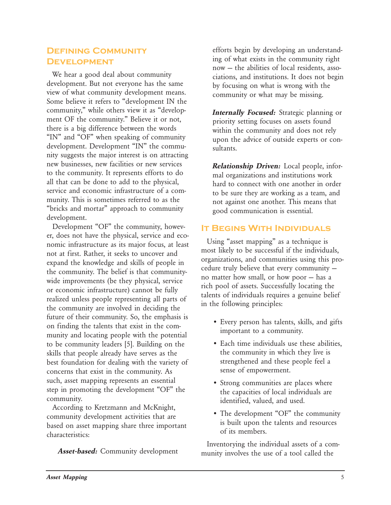## **Defining Community Development**

We hear a good deal about community development. But not everyone has the same view of what community development means. Some believe it refers to "development IN the community," while others view it as "development OF the community." Believe it or not, there is a big difference between the words "IN" and "OF" when speaking of community development. Development "IN" the community suggests the major interest is on attracting new businesses, new facilities or new services to the community. It represents efforts to do all that can be done to add to the physical, service and economic infrastructure of a community. This is sometimes referred to as the "bricks and mortar" approach to community development.

Development "OF" the community, however, does not have the physical, service and economic infrastructure as its major focus, at least not at first. Rather, it seeks to uncover and expand the knowledge and skills of people in the community. The belief is that communitywide improvements (be they physical, service or economic infrastructure) cannot be fully realized unless people representing all parts of the community are involved in deciding the future of their community. So, the emphasis is on finding the talents that exist in the community and locating people with the potential to be community leaders [5]. Building on the skills that people already have serves as the best foundation for dealing with the variety of concerns that exist in the community. As such, asset mapping represents an essential step in promoting the development "OF" the community.

According to Kretzmann and McKnight, community development activities that are based on asset mapping share three important characteristics:

*Asset-based:* Community development

efforts begin by developing an understanding of what exists in the community right now — the abilities of local residents, associations, and institutions. It does not begin by focusing on what is wrong with the community or what may be missing.

*Internally Focused:* Strategic planning or priority setting focuses on assets found within the community and does not rely upon the advice of outside experts or consultants.

*Relationship Driven:* Local people, informal organizations and institutions work hard to connect with one another in order to be sure they are working as a team, and not against one another. This means that good communication is essential.

## **It Begins With Individuals**

Using "asset mapping" as a technique is most likely to be successful if the individuals, organizations, and communities using this procedure truly believe that every community no matter how small, or how poor — has a rich pool of assets. Successfully locating the talents of individuals requires a genuine belief in the following principles:

- Every person has talents, skills, and gifts important to a community.
- Each time individuals use these abilities, the community in which they live is strengthened and these people feel a sense of empowerment.
- Strong communities are places where the capacities of local individuals are identified, valued, and used.
- The development "OF" the community is built upon the talents and resources of its members.

Inventorying the individual assets of a community involves the use of a tool called the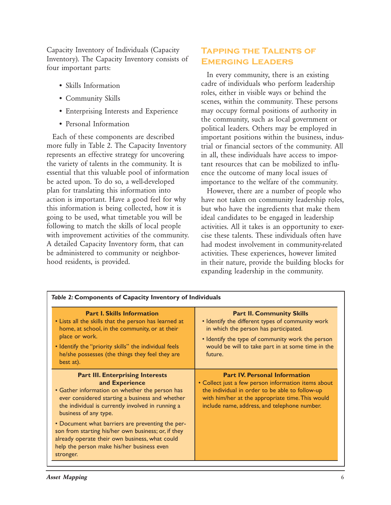Capacity Inventory of Individuals (Capacity Inventory). The Capacity Inventory consists of four important parts:

- Skills Information
- Community Skills
- Enterprising Interests and Experience
- Personal Information

Each of these components are described more fully in Table 2. The Capacity Inventory represents an effective strategy for uncovering the variety of talents in the community. It is essential that this valuable pool of information be acted upon. To do so, a well-developed plan for translating this information into action is important. Have a good feel for why this information is being collected, how it is going to be used, what timetable you will be following to match the skills of local people with improvement activities of the community. A detailed Capacity Inventory form, that can be administered to community or neighborhood residents, is provided.

## **Tapping the Talents of Emerging Leaders**

In every community, there is an existing cadre of individuals who perform leadership roles, either in visible ways or behind the scenes, within the community. These persons may occupy formal positions of authority in the community, such as local government or political leaders. Others may be employed in important positions within the business, industrial or financial sectors of the community. All in all, these individuals have access to important resources that can be mobilized to influence the outcome of many local issues of importance to the welfare of the community.

However, there are a number of people who have not taken on community leadership roles, but who have the ingredients that make them ideal candidates to be engaged in leadership activities. All it takes is an opportunity to exercise these talents. These individuals often have had modest involvement in community-related activities. These experiences, however limited in their nature, provide the building blocks for expanding leadership in the community.

| <b>Part I. Skills Information</b><br>. Lists all the skills that the person has learned at<br>home, at school, in the community, or at their<br>place or work.<br>. Identify the "priority skills" the individual feels<br>he/she possesses (the things they feel they are<br>best at).                                                                                                                                                                              | <b>Part II. Community Skills</b><br>• Identify the different types of community work<br>in which the person has participated.<br>• Identify the type of community work the person<br>would be will to take part in at some time in the<br>future.  |
|----------------------------------------------------------------------------------------------------------------------------------------------------------------------------------------------------------------------------------------------------------------------------------------------------------------------------------------------------------------------------------------------------------------------------------------------------------------------|----------------------------------------------------------------------------------------------------------------------------------------------------------------------------------------------------------------------------------------------------|
| <b>Part III. Enterprising Interests</b><br>and Experience<br>• Gather information on whether the person has<br>ever considered starting a business and whether<br>the individual is currently involved in running a<br>business of any type.<br>• Document what barriers are preventing the per-<br>son from starting his/her own business; or, if they<br>already operate their own business, what could<br>help the person make his/her business even<br>stronger. | <b>Part IV. Personal Information</b><br>• Collect just a few person information items about<br>the individual in order to be able to follow-up<br>with him/her at the appropriate time. This would<br>include name, address, and telephone number. |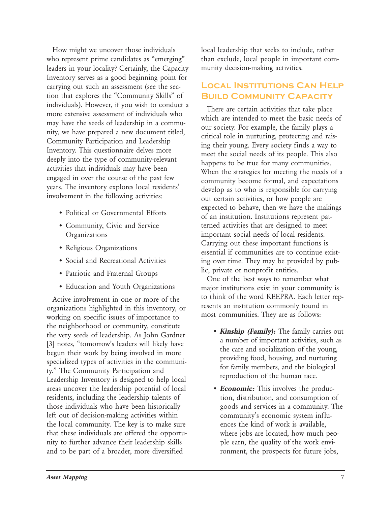How might we uncover those individuals who represent prime candidates as "emerging" leaders in your locality? Certainly, the Capacity Inventory serves as a good beginning point for carrying out such an assessment (see the section that explores the "Community Skills" of individuals). However, if you wish to conduct a more extensive assessment of individuals who may have the seeds of leadership in a community, we have prepared a new document titled, Community Participation and Leadership Inventory. This questionnaire delves more deeply into the type of community-relevant activities that individuals may have been engaged in over the course of the past few years. The inventory explores local residents' involvement in the following activities:

- Political or Governmental Efforts
- Community, Civic and Service **Organizations**
- Religious Organizations
- Social and Recreational Activities
- Patriotic and Fraternal Groups
- Education and Youth Organizations

Active involvement in one or more of the organizations highlighted in this inventory, or working on specific issues of importance to the neighborhood or community, constitute the very seeds of leadership. As John Gardner [3] notes, "tomorrow's leaders will likely have begun their work by being involved in more specialized types of activities in the community." The Community Participation and Leadership Inventory is designed to help local areas uncover the leadership potential of local residents, including the leadership talents of those individuals who have been historically left out of decision-making activities within the local community. The key is to make sure that these individuals are offered the opportunity to further advance their leadership skills and to be part of a broader, more diversified

local leadership that seeks to include, rather than exclude, local people in important community decision-making activities.

## **Local Institutions Can Help Build Community Capacity**

There are certain activities that take place which are intended to meet the basic needs of our society. For example, the family plays a critical role in nurturing, protecting and raising their young. Every society finds a way to meet the social needs of its people. This also happens to be true for many communities. When the strategies for meeting the needs of a community become formal, and expectations develop as to who is responsible for carrying out certain activities, or how people are expected to behave, then we have the makings of an institution. Institutions represent patterned activities that are designed to meet important social needs of local residents. Carrying out these important functions is essential if communities are to continue existing over time. They may be provided by public, private or nonprofit entities.

One of the best ways to remember what major institutions exist in your community is to think of the word KEEPRA. Each letter represents an institution commonly found in most communities. They are as follows:

- *Kinship (Family):* The family carries out a number of important activities, such as the care and socialization of the young, providing food, housing, and nurturing for family members, and the biological reproduction of the human race.
- *Economic:* This involves the production, distribution, and consumption of goods and services in a community. The community's economic system influences the kind of work is available, where jobs are located, how much people earn, the quality of the work environment, the prospects for future jobs,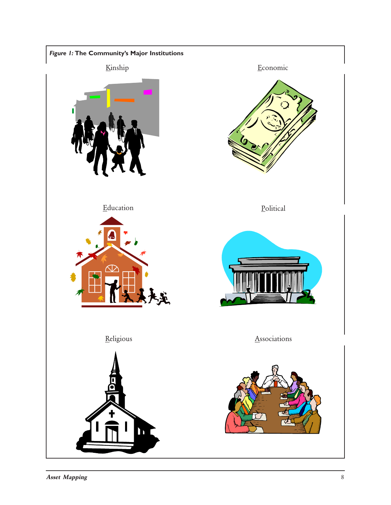

Asset Mapping 8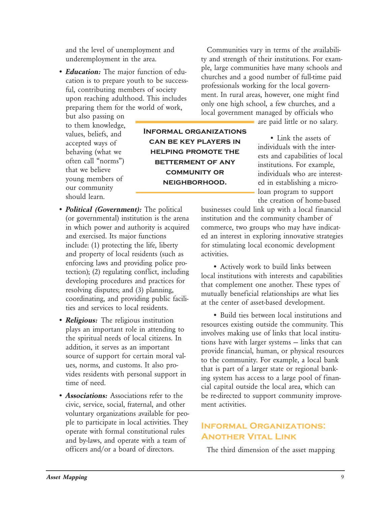and the level of unemployment and underemployment in the area.

• *Education:* The major function of education is to prepare youth to be successful, contributing members of society upon reaching adulthood. This includes preparing them for the world of work,

but also passing on to them knowledge, values, beliefs, and accepted ways of behaving (what we often call "norms") that we believe young members of our community should learn.

- *Political (Government):* The political (or governmental) institution is the arena in which power and authority is acquired and exercised. Its major functions include: (1) protecting the life, liberty and property of local residents (such as enforcing laws and providing police protection); (2) regulating conflict, including developing procedures and practices for resolving disputes; and (3) planning, coordinating, and providing public facilities and services to local residents.
- *Religious:* The religious institution plays an important role in attending to the spiritual needs of local citizens. In addition, it serves as an important source of support for certain moral values, norms, and customs. It also provides residents with personal support in time of need.
- *Associations:* Associations refer to the civic, service, social, fraternal, and other voluntary organizations available for people to participate in local activities. They operate with formal constitutional rules and by-laws, and operate with a team of officers and/or a board of directors.

Communities vary in terms of the availability and strength of their institutions. For example, large communities have many schools and churches and a good number of full-time paid professionals working for the local government. In rural areas, however, one might find only one high school, a few churches, and a local government managed by officials who

are paid little or no salary.

• Link the assets of individuals with the interests and capabilities of local institutions. For example, individuals who are interested in establishing a microloan program to support the creation of home-based

businesses could link up with a local financial institution and the community chamber of commerce, two groups who may have indicated an interest in exploring innovative strategies for stimulating local economic development activities.

• Actively work to build links between local institutions with interests and capabilities that complement one another. These types of mutually beneficial relationships are what lies at the center of asset-based development.

• Build ties between local institutions and resources existing outside the community. This involves making use of links that local institutions have with larger systems — links that can provide financial, human, or physical resources to the community. For example, a local bank that is part of a larger state or regional banking system has access to a large pool of financial capital outside the local area, which can be re-directed to support community improvement activities.

## **Informal Organizations: Another Vital Link**

The third dimension of the asset mapping

**Informal organizations can be key players in helping promote the betterment of any community or neighborhood.**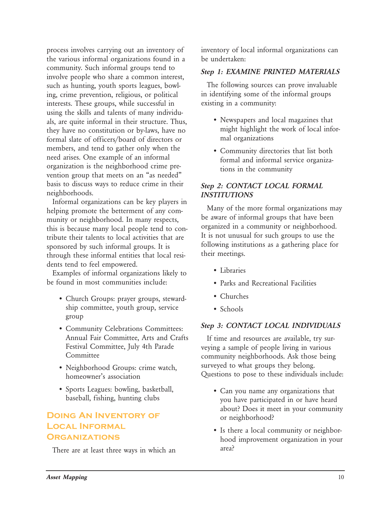process involves carrying out an inventory of the various informal organizations found in a community. Such informal groups tend to involve people who share a common interest, such as hunting, youth sports leagues, bowling, crime prevention, religious, or political interests. These groups, while successful in using the skills and talents of many individuals, are quite informal in their structure. Thus, they have no constitution or by-laws, have no formal slate of officers/board of directors or members, and tend to gather only when the need arises. One example of an informal organization is the neighborhood crime prevention group that meets on an "as needed" basis to discuss ways to reduce crime in their neighborhoods.

Informal organizations can be key players in helping promote the betterment of any community or neighborhood. In many respects, this is because many local people tend to contribute their talents to local activities that are sponsored by such informal groups. It is through these informal entities that local residents tend to feel empowered.

Examples of informal organizations likely to be found in most communities include:

- Church Groups: prayer groups, stewardship committee, youth group, service group
- Community Celebrations Committees: Annual Fair Committee, Arts and Crafts Festival Committee, July 4th Parade Committee
- Neighborhood Groups: crime watch, homeowner's association
- Sports Leagues: bowling, basketball, baseball, fishing, hunting clubs

## **Doing An Inventory of Local Informal Organizations**

There are at least three ways in which an

inventory of local informal organizations can be undertaken:

#### *Step 1: EXAMINE PRINTED MATERIALS*

The following sources can prove invaluable in identifying some of the informal groups existing in a community:

- Newspapers and local magazines that might highlight the work of local informal organizations
- Community directories that list both formal and informal service organizations in the community

#### *Step 2: CONTACT LOCAL FORMAL INSTITUTIONS*

Many of the more formal organizations may be aware of informal groups that have been organized in a community or neighborhood. It is not unusual for such groups to use the following institutions as a gathering place for their meetings.

- Libraries
- Parks and Recreational Facilities
- Churches
- Schools

#### *Step 3: CONTACT LOCAL INDIVIDUALS*

If time and resources are available, try surveying a sample of people living in various community neighborhoods. Ask those being surveyed to what groups they belong. Questions to pose to these individuals include:

- Can you name any organizations that you have participated in or have heard about? Does it meet in your community or neighborhood?
- Is there a local community or neighborhood improvement organization in your area?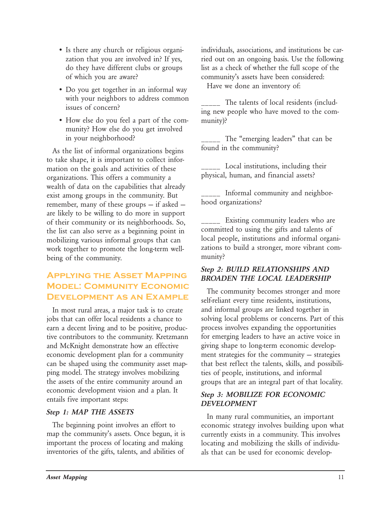- Is there any church or religious organization that you are involved in? If yes, do they have different clubs or groups of which you are aware?
- Do you get together in an informal way with your neighbors to address common issues of concern?
- How else do you feel a part of the community? How else do you get involved in your neighborhood?

As the list of informal organizations begins to take shape, it is important to collect information on the goals and activities of these organizations. This offers a community a wealth of data on the capabilities that already exist among groups in the community. But remember, many of these groups — if asked are likely to be willing to do more in support of their community or its neighborhoods. So, the list can also serve as a beginning point in mobilizing various informal groups that can work together to promote the long-term wellbeing of the community.

## **Applying the Asset Mapping Model: Community Economic Development as an Example**

In most rural areas, a major task is to create jobs that can offer local residents a chance to earn a decent living and to be positive, productive contributors to the community. Kretzmann and McKnight demonstrate how an effective economic development plan for a community can be shaped using the community asset mapping model. The strategy involves mobilizing the assets of the entire community around an economic development vision and a plan. It entails five important steps:

#### *Step 1: MAP THE ASSETS*

The beginning point involves an effort to map the community's assets. Once begun, it is important the process of locating and making inventories of the gifts, talents, and abilities of

individuals, associations, and institutions be carried out on an ongoing basis. Use the following list as a check of whether the full scope of the community's assets have been considered:

Have we done an inventory of:

\_\_\_\_\_ The talents of local residents (including new people who have moved to the community)?

The "emerging leaders" that can be found in the community?

Local institutions, including their physical, human, and financial assets?

Informal community and neighborhood organizations?

\_\_\_\_\_ Existing community leaders who are committed to using the gifts and talents of local people, institutions and informal organizations to build a stronger, more vibrant community?

## *Step 2: BUILD RELATIONSHIPS AND BROADEN THE LOCAL LEADERSHIP*

The community becomes stronger and more self-reliant every time residents, institutions, and informal groups are linked together in solving local problems or concerns. Part of this process involves expanding the opportunities for emerging leaders to have an active voice in giving shape to long-term economic development strategies for the community — strategies that best reflect the talents, skills, and possibilities of people, institutions, and informal groups that are an integral part of that locality.

## *Step 3: MOBILIZE FOR ECONOMIC DEVELOPMENT*

In many rural communities, an important economic strategy involves building upon what currently exists in a community. This involves locating and mobilizing the skills of individuals that can be used for economic develop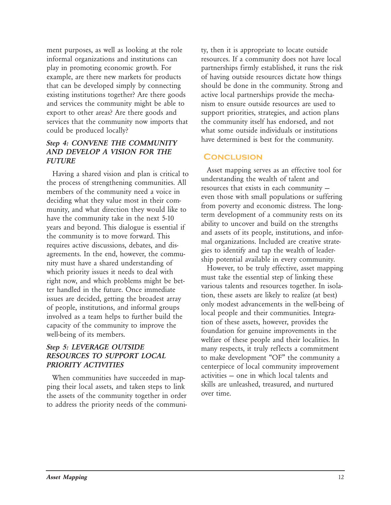ment purposes, as well as looking at the role informal organizations and institutions can play in promoting economic growth. For example, are there new markets for products that can be developed simply by connecting existing institutions together? Are there goods and services the community might be able to export to other areas? Are there goods and services that the community now imports that could be produced locally?

### *Step 4: CONVENE THE COMMUNITY AND DEVELOP A VISION FOR THE FUTURE*

Having a shared vision and plan is critical to the process of strengthening communities. All members of the community need a voice in deciding what they value most in their community, and what direction they would like to have the community take in the next 5-10 years and beyond. This dialogue is essential if the community is to move forward. This requires active discussions, debates, and disagreements. In the end, however, the community must have a shared understanding of which priority issues it needs to deal with right now, and which problems might be better handled in the future. Once immediate issues are decided, getting the broadest array of people, institutions, and informal groups involved as a team helps to further build the capacity of the community to improve the well-being of its members.

#### *Step 5: LEVERAGE OUTSIDE RESOURCES TO SUPPORT LOCAL PRIORITY ACTIVITIES*

When communities have succeeded in mapping their local assets, and taken steps to link the assets of the community together in order to address the priority needs of the community, then it is appropriate to locate outside resources. If a community does not have local partnerships firmly established, it runs the risk of having outside resources dictate how things should be done in the community. Strong and active local partnerships provide the mechanism to ensure outside resources are used to support priorities, strategies, and action plans the community itself has endorsed, and not what some outside individuals or institutions have determined is best for the community.

### **Conclusion**

Asset mapping serves as an effective tool for understanding the wealth of talent and resources that exists in each community even those with small populations or suffering from poverty and economic distress. The longterm development of a community rests on its ability to uncover and build on the strengths and assets of its people, institutions, and informal organizations. Included are creative strategies to identify and tap the wealth of leadership potential available in every community.

However, to be truly effective, asset mapping must take the essential step of linking these various talents and resources together. In isolation, these assets are likely to realize (at best) only modest advancements in the well-being of local people and their communities. Integration of these assets, however, provides the foundation for genuine improvements in the welfare of these people and their localities. In many respects, it truly reflects a commitment to make development "OF" the community a centerpiece of local community improvement activities — one in which local talents and skills are unleashed, treasured, and nurtured over time.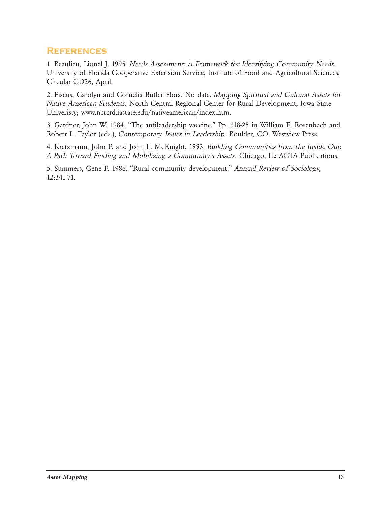### **References**

1. Beaulieu, Lionel J. 1995. *Needs Assessment: A Framework for Identifying Community Needs.* University of Florida Cooperative Extension Service, Institute of Food and Agricultural Sciences, Circular CD26, April.

2. Fiscus, Carolyn and Cornelia Butler Flora. No date. *Mapping Spiritual and Cultural Assets for Native American Students.* North Central Regional Center for Rural Development, Iowa State Univeristy; www.ncrcrd.iastate.edu/nativeamerican/index.htm.

3. Gardner, John W. 1984. "The antileadership vaccine." Pp. 318-25 in William E. Rosenbach and Robert L. Taylor (eds.), *Contemporary Issues in Leadership.* Boulder, CO: Westview Press.

4. Kretzmann, John P. and John L. McKnight. 1993. *Building Communities from the Inside Out: A Path Toward Finding and Mobilizing a Community's Assets*. Chicago, IL: ACTA Publications.

5. Summers, Gene F. 1986. "Rural community development." *Annual Review of Sociology,* 12:341-71.